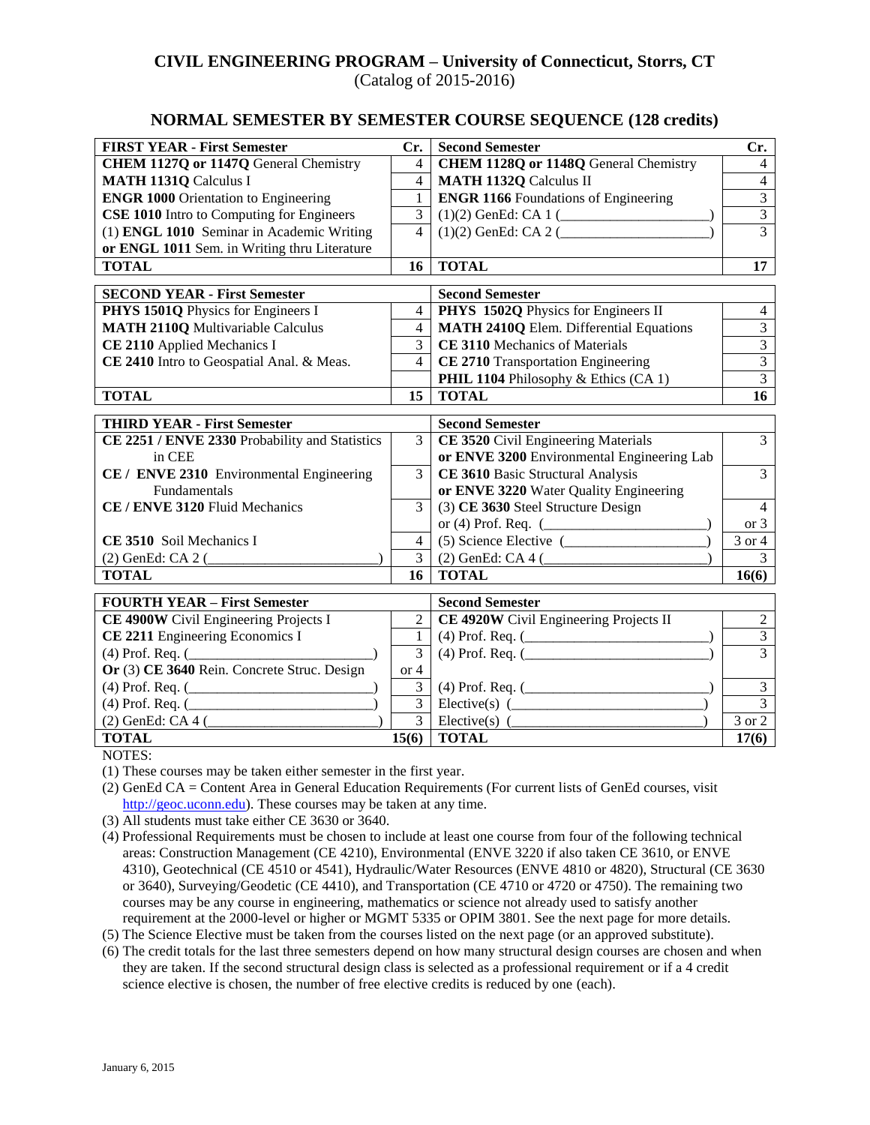## **CIVIL ENGINEERING PROGRAM – University of Connecticut, Storrs, CT** (Catalog of 2015-2016)

### **NORMAL SEMESTER BY SEMESTER COURSE SEQUENCE (128 credits)**

| <b>FIRST YEAR - First Semester</b>                                                   | Cr.                            | <b>Second Semester</b>                                               | Cr.                              |
|--------------------------------------------------------------------------------------|--------------------------------|----------------------------------------------------------------------|----------------------------------|
| <b>CHEM 1127Q or 1147Q General Chemistry</b>                                         | $\overline{4}$                 | CHEM 1128Q or 1148Q General Chemistry                                | $\overline{4}$                   |
| <b>MATH 1131Q Calculus I</b>                                                         | $\overline{4}$                 | <b>MATH 1132Q Calculus II</b>                                        | $\overline{4}$                   |
| <b>ENGR 1000 Orientation to Engineering</b>                                          | $\mathbf{1}$                   | <b>ENGR 1166</b> Foundations of Engineering                          | $\overline{3}$                   |
| <b>CSE 1010</b> Intro to Computing for Engineers                                     | 3                              |                                                                      | $\overline{3}$                   |
| (1) ENGL 1010 Seminar in Academic Writing                                            | $\overline{4}$                 | $(1)(2)$ GenEd: CA 2 (                                               |                                  |
| or ENGL 1011 Sem. in Writing thru Literature                                         |                                |                                                                      |                                  |
| <b>TOTAL</b>                                                                         | 16                             | <b>TOTAL</b>                                                         | 17                               |
| <b>SECOND YEAR - First Semester</b>                                                  |                                | <b>Second Semester</b>                                               |                                  |
| PHYS 1501Q Physics for Engineers I                                                   | $\overline{4}$                 | PHYS 1502Q Physics for Engineers II                                  | $\overline{4}$                   |
| <b>MATH 2110Q Multivariable Calculus</b>                                             | $\overline{4}$                 | <b>MATH 2410Q Elem. Differential Equations</b>                       | $\overline{3}$                   |
| CE 2110 Applied Mechanics I                                                          | 3                              | CE 3110 Mechanics of Materials                                       | $\overline{3}$                   |
| CE 2410 Intro to Geospatial Anal. & Meas.                                            | $\overline{4}$                 | CE 2710 Transportation Engineering                                   | $\overline{3}$                   |
|                                                                                      |                                | PHIL 1104 Philosophy & Ethics (CA 1)                                 | $\overline{3}$                   |
| <b>TOTAL</b>                                                                         | 15                             | <b>TOTAL</b>                                                         | 16                               |
|                                                                                      |                                |                                                                      |                                  |
| <b>THIRD YEAR - First Semester</b><br>CE 2251 / ENVE 2330 Probability and Statistics | $\overline{3}$                 | <b>Second Semester</b><br><b>CE 3520</b> Civil Engineering Materials | $\overline{3}$                   |
| in CEE                                                                               |                                | or ENVE 3200 Environmental Engineering Lab                           |                                  |
| CE / ENVE 2310 Environmental Engineering                                             | $\overline{3}$                 | CE 3610 Basic Structural Analysis                                    | $\overline{3}$                   |
| Fundamentals                                                                         |                                | or ENVE 3220 Water Quality Engineering                               |                                  |
| CE / ENVE 3120 Fluid Mechanics                                                       | $\overline{3}$                 | (3) CE 3630 Steel Structure Design                                   | $\overline{4}$                   |
|                                                                                      |                                |                                                                      | or 3                             |
| CE 3510 Soil Mechanics I                                                             | $\overline{4}$                 | $(5)$ Science Elective $($                                           | $\overline{3}$ or 4              |
| (2) GenEd: CA 2 (                                                                    | 3                              | $(2)$ GenEd: CA 4 $($                                                | $\overline{3}$                   |
| <b>TOTAL</b>                                                                         | 16 <sup>1</sup>                | <b>TOTAL</b>                                                         | 16(6)                            |
|                                                                                      |                                |                                                                      |                                  |
| <b>FOURTH YEAR - First Semester</b>                                                  |                                | <b>Second Semester</b>                                               |                                  |
| CE 4900W Civil Engineering Projects I                                                | 2                              | CE 4920W Civil Engineering Projects II                               | $\overline{2}$<br>$\overline{3}$ |
| CE 2211 Engineering Economics I                                                      | $\mathbf{1}$<br>$\overline{3}$ |                                                                      | $\overline{3}$                   |
| (4) Prof. Req. $($<br>Or $(3)$ CE 3640 Rein. Concrete Struc. Design                  | or 4                           | $(4)$ Prof. Req. $($                                                 |                                  |
| $(4)$ Prof. Req. $($                                                                 | 3                              | $(4)$ Prof. Req. $($                                                 | $\overline{3}$                   |
| $(4)$ Prof. Req. $($                                                                 | $\overline{3}$                 | Elective(s) $($                                                      | $\overline{3}$                   |
| (2) GenEd: CA 4 (                                                                    | $\overline{3}$                 | Elective(s) $($                                                      | 3 or 2                           |
| <b>TOTAL</b>                                                                         | 15(6)                          | <b>TOTAL</b>                                                         | 17(6)                            |

NOTES:

(1) These courses may be taken either semester in the first year.

- (2) GenEd CA = Content Area in General Education Requirements (For current lists of GenEd courses, visit [http://geoc.uconn.edu\)](http://geoc.uconn.edu/). These courses may be taken at any time.
- (3) All students must take either CE 3630 or 3640.
- (4) Professional Requirements must be chosen to include at least one course from four of the following technical areas: Construction Management (CE 4210), Environmental (ENVE 3220 if also taken CE 3610, or ENVE 4310), Geotechnical (CE 4510 or 4541), Hydraulic/Water Resources (ENVE 4810 or 4820), Structural (CE 3630 or 3640), Surveying/Geodetic (CE 4410), and Transportation (CE 4710 or 4720 or 4750). The remaining two courses may be any course in engineering, mathematics or science not already used to satisfy another requirement at the 2000-level or higher or MGMT 5335 or OPIM 3801. See the next page for more details.
- (5) The Science Elective must be taken from the courses listed on the next page (or an approved substitute).
- (6) The credit totals for the last three semesters depend on how many structural design courses are chosen and when they are taken. If the second structural design class is selected as a professional requirement or if a 4 credit science elective is chosen, the number of free elective credits is reduced by one (each).